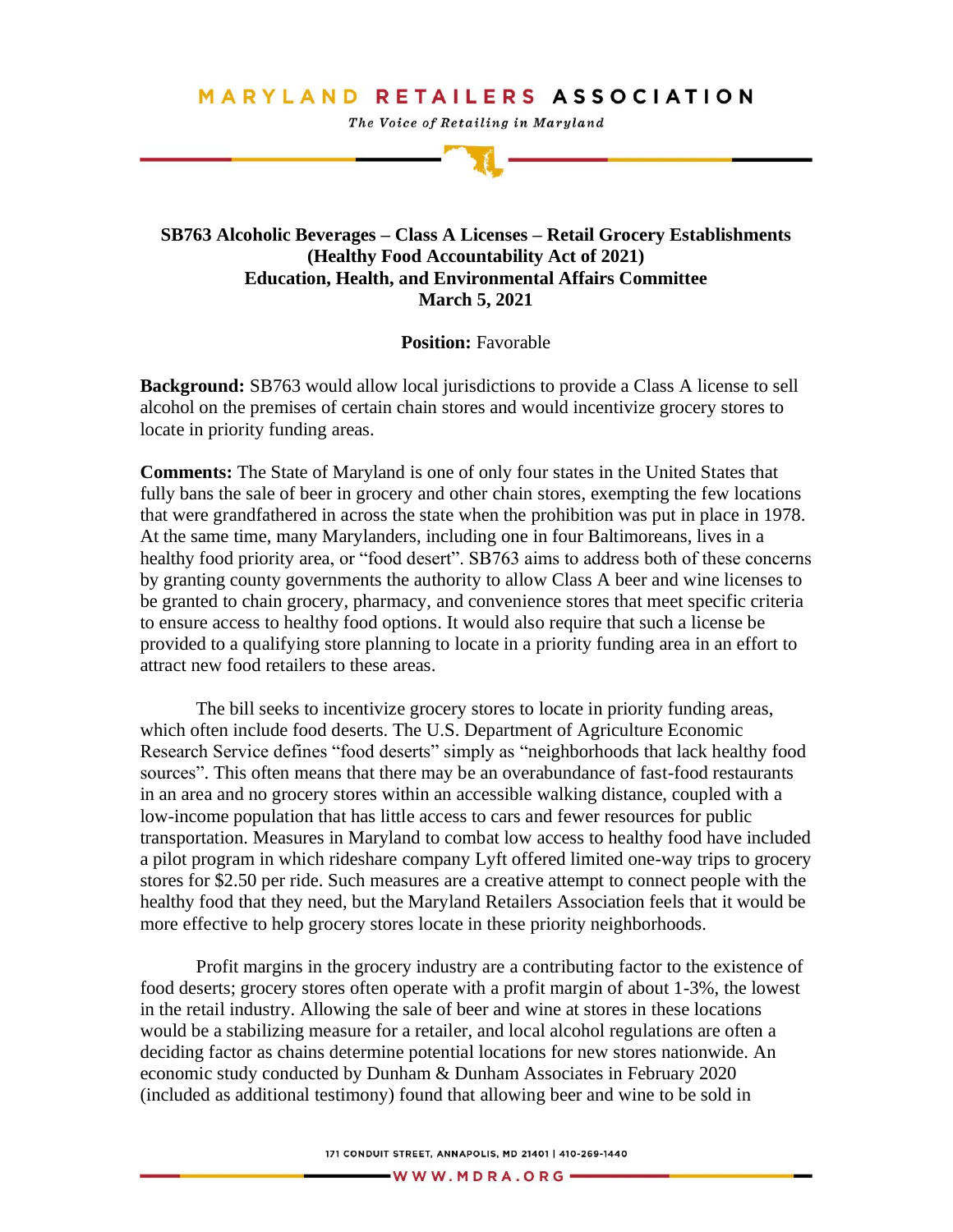## **MARYLAND RETAILERS ASSOCIATION**

The Voice of Retailing in Maryland

## **SB763 Alcoholic Beverages – Class A Licenses – Retail Grocery Establishments (Healthy Food Accountability Act of 2021) Education, Health, and Environmental Affairs Committee March 5, 2021**

## **Position:** Favorable

**Background:** SB763 would allow local jurisdictions to provide a Class A license to sell alcohol on the premises of certain chain stores and would incentivize grocery stores to locate in priority funding areas.

**Comments:** The State of Maryland is one of only four states in the United States that fully bans the sale of beer in grocery and other chain stores, exempting the few locations that were grandfathered in across the state when the prohibition was put in place in 1978. At the same time, many Marylanders, including one in four Baltimoreans, lives in a healthy food priority area, or "food desert". SB763 aims to address both of these concerns by granting county governments the authority to allow Class A beer and wine licenses to be granted to chain grocery, pharmacy, and convenience stores that meet specific criteria to ensure access to healthy food options. It would also require that such a license be provided to a qualifying store planning to locate in a priority funding area in an effort to attract new food retailers to these areas.

The bill seeks to incentivize grocery stores to locate in priority funding areas, which often include food deserts. The U.S. Department of Agriculture Economic Research Service defines "food deserts" simply as "neighborhoods that lack healthy food sources". This often means that there may be an overabundance of fast-food restaurants in an area and no grocery stores within an accessible walking distance, coupled with a low-income population that has little access to cars and fewer resources for public transportation. Measures in Maryland to combat low access to healthy food have included a pilot program in which rideshare company Lyft offered limited one-way trips to grocery stores for \$2.50 per ride. Such measures are a creative attempt to connect people with the healthy food that they need, but the Maryland Retailers Association feels that it would be more effective to help grocery stores locate in these priority neighborhoods.

Profit margins in the grocery industry are a contributing factor to the existence of food deserts; grocery stores often operate with a profit margin of about 1-3%, the lowest in the retail industry. Allowing the sale of beer and wine at stores in these locations would be a stabilizing measure for a retailer, and local alcohol regulations are often a deciding factor as chains determine potential locations for new stores nationwide. An economic study conducted by Dunham & Dunham Associates in February 2020 (included as additional testimony) found that allowing beer and wine to be sold in